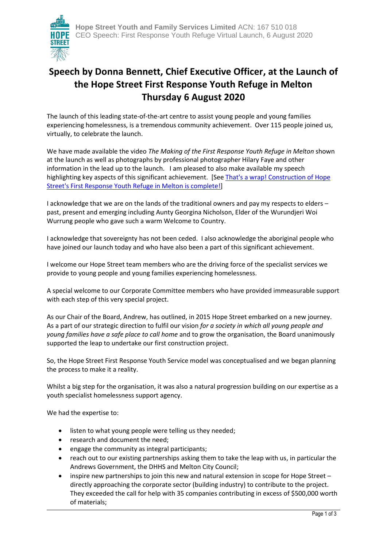

## **Speech by Donna Bennett, Chief Executive Officer, at the Launch of the Hope Street First Response Youth Refuge in Melton Thursday 6 August 2020**

The launch of this leading state-of-the-art centre to assist young people and young families experiencing homelessness, is a tremendous community achievement. Over 115 people joined us, virtually, to celebrate the launch.

We have made available the video *The Making of the First Response Youth Refuge in Melton* shown at the launch as well as photographs by professional photographer Hilary Faye and other information in the lead up to the launch. I am pleased to also make available my speech highlighting key aspects of this significant achievement. [See That's a wrap! Construction of Hope [Street's First Response Youth Refuge in Melton is complete!\]](https://www.hopest.org/news/articles/321-that-s-a-wrap-construction-of-hope-street-s-first-response-youth-refuge-in-melton-is-complete)

I acknowledge that we are on the lands of the traditional owners and pay my respects to elders – past, present and emerging including Aunty Georgina Nicholson, Elder of the Wurundjeri Woi Wurrung people who gave such a warm Welcome to Country.

I acknowledge that sovereignty has not been ceded. I also acknowledge the aboriginal people who have joined our launch today and who have also been a part of this significant achievement.

I welcome our Hope Street team members who are the driving force of the specialist services we provide to young people and young families experiencing homelessness.

A special welcome to our Corporate Committee members who have provided immeasurable support with each step of this very special project.

As our Chair of the Board, Andrew, has outlined, in 2015 Hope Street embarked on a new journey. As a part of our strategic direction to fulfil our vision *for a society in which all young people and young families have a safe place to call home* and to grow the organisation, the Board unanimously supported the leap to undertake our first construction project.

So, the Hope Street First Response Youth Service model was conceptualised and we began planning the process to make it a reality.

Whilst a big step for the organisation, it was also a natural progression building on our expertise as a youth specialist homelessness support agency.

We had the expertise to:

- listen to what young people were telling us they needed;
- research and document the need;
- engage the community as integral participants;
- reach out to our existing partnerships asking them to take the leap with us, in particular the Andrews Government, the DHHS and Melton City Council;
- inspire new partnerships to join this new and natural extension in scope for Hope Street directly approaching the corporate sector (building industry) to contribute to the project. They exceeded the call for help with 35 companies contributing in excess of \$500,000 worth of materials;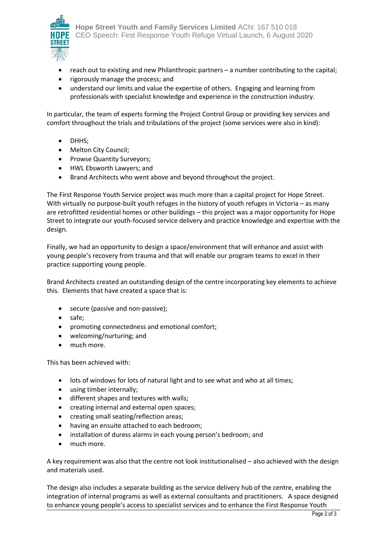

- reach out to existing and new Philanthropic partners a number contributing to the capital;
- rigorously manage the process; and
- understand our limits and value the expertise of others. Engaging and learning from professionals with specialist knowledge and experience in the construction industry.

In particular, the team of experts forming the Project Control Group or providing key services and comfort throughout the trials and tribulations of the project (some services were also in kind):

- DHHS;
- Melton City Council;
- Prowse Quantity Surveyors;
- HWL Ebsworth Lawyers; and
- Brand Architects who went above and beyond throughout the project.

The First Response Youth Service project was much more than a capital project for Hope Street. With virtually no purpose-built youth refuges in the history of youth refuges in Victoria – as many are retrofitted residential homes or other buildings – this project was a major opportunity for Hope Street to integrate our youth-focused service delivery and practice knowledge and expertise with the design.

Finally, we had an opportunity to design a space/environment that will enhance and assist with young people's recovery from trauma and that will enable our program teams to excel in their practice supporting young people.

Brand Architects created an outstanding design of the centre incorporating key elements to achieve this. Elements that have created a space that is:

- secure (passive and non-passive);
- safe:
- promoting connectedness and emotional comfort;
- welcoming/nurturing; and
- much more.

This has been achieved with:

- lots of windows for lots of natural light and to see what and who at all times;
- using timber internally;
- different shapes and textures with walls;
- creating internal and external open spaces;
- creating small seating/reflection areas;
- having an ensuite attached to each bedroom;
- installation of duress alarms in each young person's bedroom; and
- much more.

A key requirement was also that the centre not look institutionalised – also achieved with the design and materials used.

The design also includes a separate building as the service delivery hub of the centre, enabling the integration of internal programs as well as external consultants and practitioners. A space designed to enhance young people's access to specialist services and to enhance the First Response Youth